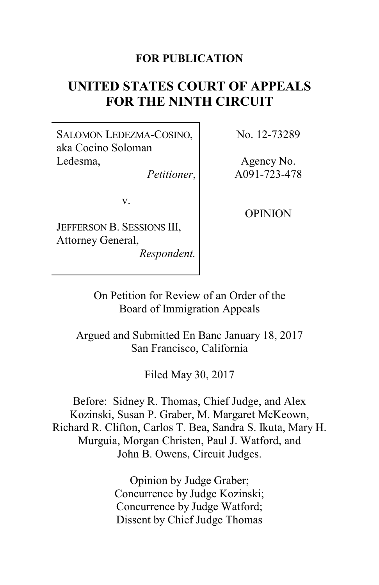### **FOR PUBLICATION**

# **UNITED STATES COURT OF APPEALS FOR THE NINTH CIRCUIT**

SALOMON LEDEZMA-COSINO, aka Cocino Soloman Ledesma,

*Petitioner*,

v.

JEFFERSON B. SESSIONS III, Attorney General, *Respondent.* No. 12-73289

Agency No. A091-723-478

OPINION

On Petition for Review of an Order of the Board of Immigration Appeals

Argued and Submitted En Banc January 18, 2017 San Francisco, California

Filed May 30, 2017

Before: Sidney R. Thomas, Chief Judge, and Alex Kozinski, Susan P. Graber, M. Margaret McKeown, Richard R. Clifton, Carlos T. Bea, Sandra S. Ikuta, Mary H. Murguia, Morgan Christen, Paul J. Watford, and John B. Owens, Circuit Judges.

> Opinion by Judge Graber; Concurrence by Judge Kozinski; Concurrence by Judge Watford; Dissent by Chief Judge Thomas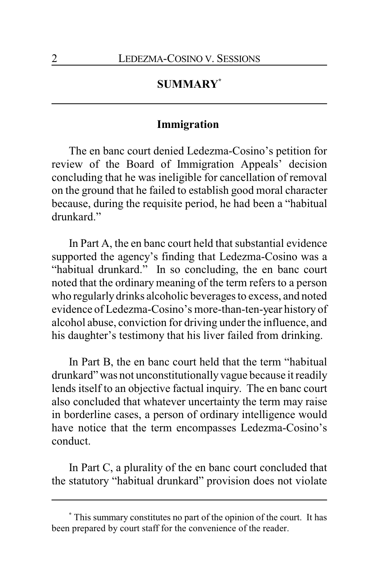## **SUMMARY\***

### **Immigration**

The en banc court denied Ledezma-Cosino's petition for review of the Board of Immigration Appeals' decision concluding that he was ineligible for cancellation of removal on the ground that he failed to establish good moral character because, during the requisite period, he had been a "habitual drunkard."

In Part A, the en banc court held that substantial evidence supported the agency's finding that Ledezma-Cosino was a "habitual drunkard." In so concluding, the en banc court noted that the ordinary meaning of the term refers to a person who regularly drinks alcoholic beverages to excess, and noted evidence of Ledezma-Cosino's more-than-ten-year history of alcohol abuse, conviction for driving under the influence, and his daughter's testimony that his liver failed from drinking.

In Part B, the en banc court held that the term "habitual drunkard" was not unconstitutionally vague because it readily lends itself to an objective factual inquiry. The en banc court also concluded that whatever uncertainty the term may raise in borderline cases, a person of ordinary intelligence would have notice that the term encompasses Ledezma-Cosino's conduct.

In Part C, a plurality of the en banc court concluded that the statutory "habitual drunkard" provision does not violate

**<sup>\*</sup>** This summary constitutes no part of the opinion of the court. It has been prepared by court staff for the convenience of the reader.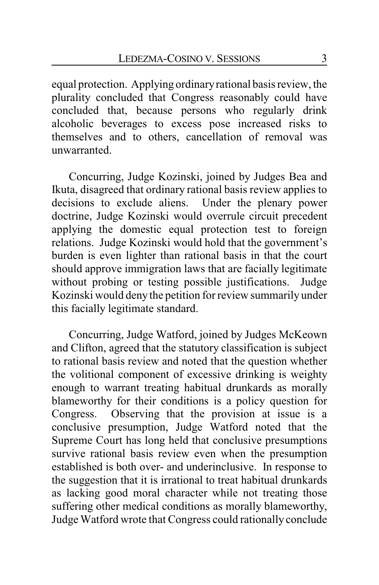equal protection. Applying ordinaryrational basis review, the plurality concluded that Congress reasonably could have concluded that, because persons who regularly drink alcoholic beverages to excess pose increased risks to themselves and to others, cancellation of removal was unwarranted.

Concurring, Judge Kozinski, joined by Judges Bea and Ikuta, disagreed that ordinary rational basis review applies to decisions to exclude aliens. Under the plenary power doctrine, Judge Kozinski would overrule circuit precedent applying the domestic equal protection test to foreign relations. Judge Kozinski would hold that the government's burden is even lighter than rational basis in that the court should approve immigration laws that are facially legitimate without probing or testing possible justifications. Judge Kozinski would deny the petition for review summarily under this facially legitimate standard.

Concurring, Judge Watford, joined by Judges McKeown and Clifton, agreed that the statutory classification is subject to rational basis review and noted that the question whether the volitional component of excessive drinking is weighty enough to warrant treating habitual drunkards as morally blameworthy for their conditions is a policy question for Congress. Observing that the provision at issue is a conclusive presumption, Judge Watford noted that the Supreme Court has long held that conclusive presumptions survive rational basis review even when the presumption established is both over- and underinclusive. In response to the suggestion that it is irrational to treat habitual drunkards as lacking good moral character while not treating those suffering other medical conditions as morally blameworthy, Judge Watford wrote that Congress could rationally conclude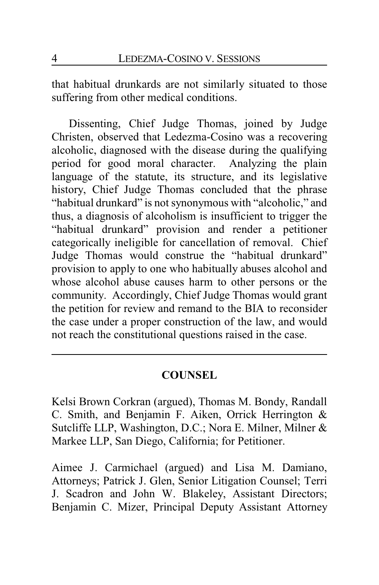that habitual drunkards are not similarly situated to those suffering from other medical conditions.

Dissenting, Chief Judge Thomas, joined by Judge Christen, observed that Ledezma-Cosino was a recovering alcoholic, diagnosed with the disease during the qualifying period for good moral character. Analyzing the plain language of the statute, its structure, and its legislative history, Chief Judge Thomas concluded that the phrase "habitual drunkard" is not synonymous with "alcoholic," and thus, a diagnosis of alcoholism is insufficient to trigger the "habitual drunkard" provision and render a petitioner categorically ineligible for cancellation of removal. Chief Judge Thomas would construe the "habitual drunkard" provision to apply to one who habitually abuses alcohol and whose alcohol abuse causes harm to other persons or the community. Accordingly, Chief Judge Thomas would grant the petition for review and remand to the BIA to reconsider the case under a proper construction of the law, and would not reach the constitutional questions raised in the case.

### **COUNSEL**

Kelsi Brown Corkran (argued), Thomas M. Bondy, Randall C. Smith, and Benjamin F. Aiken, Orrick Herrington & Sutcliffe LLP, Washington, D.C.; Nora E. Milner, Milner & Markee LLP, San Diego, California; for Petitioner.

Aimee J. Carmichael (argued) and Lisa M. Damiano, Attorneys; Patrick J. Glen, Senior Litigation Counsel; Terri J. Scadron and John W. Blakeley, Assistant Directors; Benjamin C. Mizer, Principal Deputy Assistant Attorney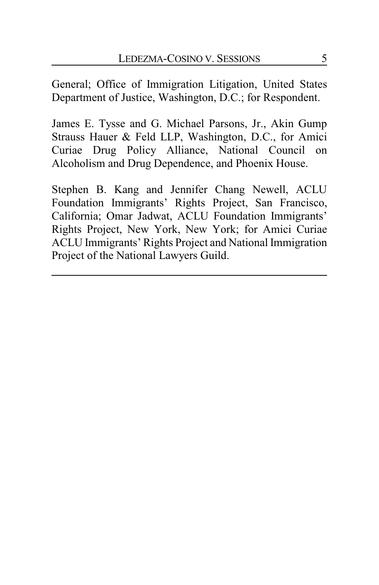General; Office of Immigration Litigation, United States Department of Justice, Washington, D.C.; for Respondent.

James E. Tysse and G. Michael Parsons, Jr., Akin Gump Strauss Hauer & Feld LLP, Washington, D.C., for Amici Curiae Drug Policy Alliance, National Council on Alcoholism and Drug Dependence, and Phoenix House.

Stephen B. Kang and Jennifer Chang Newell, ACLU Foundation Immigrants' Rights Project, San Francisco, California; Omar Jadwat, ACLU Foundation Immigrants' Rights Project, New York, New York; for Amici Curiae ACLU Immigrants' Rights Project and National Immigration Project of the National Lawyers Guild.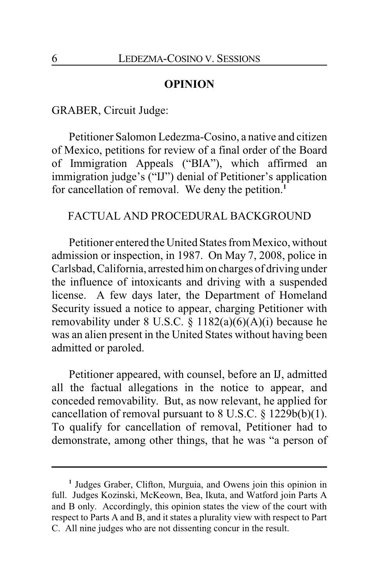#### **OPINION**

GRABER, Circuit Judge:

Petitioner Salomon Ledezma-Cosino, a native and citizen of Mexico, petitions for review of a final order of the Board of Immigration Appeals ("BIA"), which affirmed an immigration judge's ("IJ") denial of Petitioner's application for cancellation of removal. We deny the petition.**<sup>1</sup>**

#### FACTUAL AND PROCEDURAL BACKGROUND

Petitioner entered the United States from Mexico, without admission or inspection, in 1987. On May 7, 2008, police in Carlsbad, California, arrested him on charges of driving under the influence of intoxicants and driving with a suspended license. A few days later, the Department of Homeland Security issued a notice to appear, charging Petitioner with removability under 8 U.S.C.  $\S$  1182(a)(6)(A)(i) because he was an alien present in the United States without having been admitted or paroled.

Petitioner appeared, with counsel, before an IJ, admitted all the factual allegations in the notice to appear, and conceded removability. But, as now relevant, he applied for cancellation of removal pursuant to 8 U.S.C. § 1229b(b)(1). To qualify for cancellation of removal, Petitioner had to demonstrate, among other things, that he was "a person of

<sup>&</sup>lt;sup>1</sup> Judges Graber, Clifton, Murguia, and Owens join this opinion in full. Judges Kozinski, McKeown, Bea, Ikuta, and Watford join Parts A and B only. Accordingly, this opinion states the view of the court with respect to Parts A and B, and it states a plurality view with respect to Part C. All nine judges who are not dissenting concur in the result.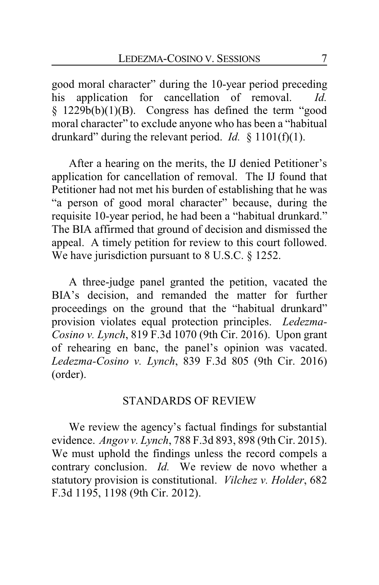good moral character" during the 10-year period preceding his application for cancellation of removal. *Id.* § 1229b(b)(1)(B). Congress has defined the term "good moral character" to exclude anyone who has been a "habitual drunkard" during the relevant period. *Id.* § 1101(f)(1).

After a hearing on the merits, the IJ denied Petitioner's application for cancellation of removal. The IJ found that Petitioner had not met his burden of establishing that he was "a person of good moral character" because, during the requisite 10-year period, he had been a "habitual drunkard." The BIA affirmed that ground of decision and dismissed the appeal. A timely petition for review to this court followed. We have jurisdiction pursuant to 8 U.S.C. § 1252.

A three-judge panel granted the petition, vacated the BIA's decision, and remanded the matter for further proceedings on the ground that the "habitual drunkard" provision violates equal protection principles. *Ledezma-Cosino v. Lynch*, 819 F.3d 1070 (9th Cir. 2016). Upon grant of rehearing en banc, the panel's opinion was vacated. *Ledezma-Cosino v. Lynch*, 839 F.3d 805 (9th Cir. 2016) (order).

### STANDARDS OF REVIEW

We review the agency's factual findings for substantial evidence. *Angov v. Lynch*, 788 F.3d 893, 898 (9th Cir. 2015). We must uphold the findings unless the record compels a contrary conclusion. *Id.* We review de novo whether a statutory provision is constitutional. *Vilchez v. Holder*, 682 F.3d 1195, 1198 (9th Cir. 2012).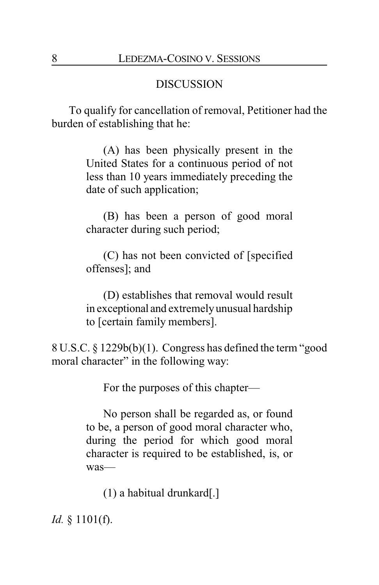### DISCUSSION

To qualify for cancellation of removal, Petitioner had the burden of establishing that he:

> (A) has been physically present in the United States for a continuous period of not less than 10 years immediately preceding the date of such application;

> (B) has been a person of good moral character during such period;

> (C) has not been convicted of [specified offenses]; and

> (D) establishes that removal would result in exceptional and extremelyunusual hardship to [certain family members].

8 U.S.C. § 1229b(b)(1). Congress has defined the term "good moral character" in the following way:

For the purposes of this chapter—

No person shall be regarded as, or found to be, a person of good moral character who, during the period for which good moral character is required to be established, is, or was—

(1) a habitual drunkard[.]

*Id.* § 1101(f).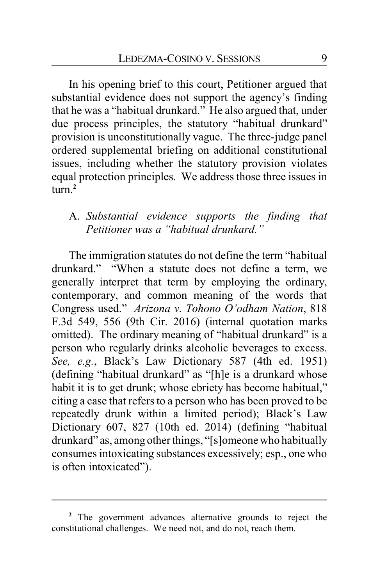In his opening brief to this court, Petitioner argued that substantial evidence does not support the agency's finding that he was a "habitual drunkard." He also argued that, under due process principles, the statutory "habitual drunkard" provision is unconstitutionally vague. The three-judge panel ordered supplemental briefing on additional constitutional issues, including whether the statutory provision violates equal protection principles. We address those three issues in  $t$ <sub>11rn</sub> $2$ 

### A. *Substantial evidence supports the finding that Petitioner was a "habitual drunkard."*

The immigration statutes do not define the term "habitual drunkard." "When a statute does not define a term, we generally interpret that term by employing the ordinary, contemporary, and common meaning of the words that Congress used." *Arizona v. Tohono O'odham Nation*, 818 F.3d 549, 556 (9th Cir. 2016) (internal quotation marks omitted). The ordinary meaning of "habitual drunkard" is a person who regularly drinks alcoholic beverages to excess. *See, e.g.*, Black's Law Dictionary 587 (4th ed. 1951) (defining "habitual drunkard" as "[h]e is a drunkard whose habit it is to get drunk; whose ebriety has become habitual," citing a case that refers to a person who has been proved to be repeatedly drunk within a limited period); Black's Law Dictionary 607, 827 (10th ed. 2014) (defining "habitual drunkard" as, among other things, "[s]omeone who habitually consumes intoxicating substances excessively; esp., one who is often intoxicated").

<sup>&</sup>lt;sup>2</sup> The government advances alternative grounds to reject the constitutional challenges. We need not, and do not, reach them.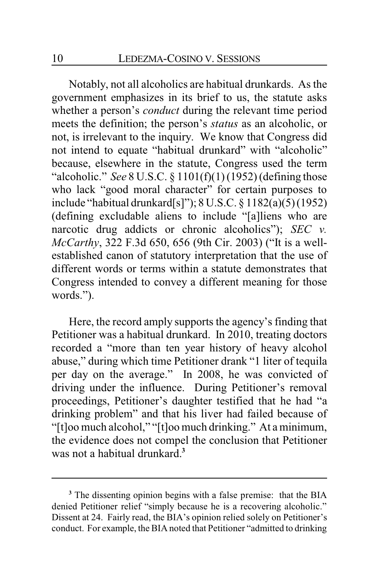Notably, not all alcoholics are habitual drunkards. As the government emphasizes in its brief to us, the statute asks whether a person's *conduct* during the relevant time period meets the definition; the person's *status* as an alcoholic, or not, is irrelevant to the inquiry. We know that Congress did not intend to equate "habitual drunkard" with "alcoholic" because, elsewhere in the statute, Congress used the term "alcoholic." *See* 8 U.S.C. § 1101(f)(1) (1952) (defining those who lack "good moral character" for certain purposes to include "habitual drunkard[s]"); 8 U.S.C. § 1182(a)(5) (1952) (defining excludable aliens to include "[a]liens who are narcotic drug addicts or chronic alcoholics"); *SEC v. McCarthy*, 322 F.3d 650, 656 (9th Cir. 2003) ("It is a wellestablished canon of statutory interpretation that the use of different words or terms within a statute demonstrates that Congress intended to convey a different meaning for those words.").

Here, the record amply supports the agency's finding that Petitioner was a habitual drunkard. In 2010, treating doctors recorded a "more than ten year history of heavy alcohol abuse," during which time Petitioner drank "1 liter of tequila per day on the average." In 2008, he was convicted of driving under the influence. During Petitioner's removal proceedings, Petitioner's daughter testified that he had "a drinking problem" and that his liver had failed because of "[t]oo much alcohol," "[t]oo much drinking." At a minimum, the evidence does not compel the conclusion that Petitioner was not a habitual drunkard.**<sup>3</sup>**

**<sup>3</sup>** The dissenting opinion begins with a false premise: that the BIA denied Petitioner relief "simply because he is a recovering alcoholic." Dissent at 24. Fairly read, the BIA's opinion relied solely on Petitioner's conduct. For example, the BIA noted that Petitioner "admitted to drinking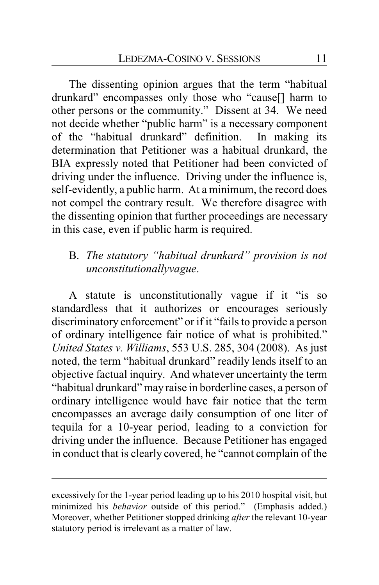The dissenting opinion argues that the term "habitual drunkard" encompasses only those who "cause[] harm to other persons or the community." Dissent at 34. We need not decide whether "public harm" is a necessary component of the "habitual drunkard" definition. In making its determination that Petitioner was a habitual drunkard, the BIA expressly noted that Petitioner had been convicted of driving under the influence. Driving under the influence is, self-evidently, a public harm. At a minimum, the record does not compel the contrary result. We therefore disagree with the dissenting opinion that further proceedings are necessary in this case, even if public harm is required.

### B. *The statutory "habitual drunkard" provision is not unconstitutionallyvague*.

A statute is unconstitutionally vague if it "is so standardless that it authorizes or encourages seriously discriminatory enforcement" or if it "fails to provide a person of ordinary intelligence fair notice of what is prohibited." *United States v. Williams*, 553 U.S. 285, 304 (2008). As just noted, the term "habitual drunkard" readily lends itself to an objective factual inquiry. And whatever uncertainty the term "habitual drunkard" may raise in borderline cases, a person of ordinary intelligence would have fair notice that the term encompasses an average daily consumption of one liter of tequila for a 10-year period, leading to a conviction for driving under the influence. Because Petitioner has engaged in conduct that is clearly covered, he "cannot complain of the

excessively for the 1-year period leading up to his 2010 hospital visit, but minimized his *behavior* outside of this period." (Emphasis added.) Moreover, whether Petitioner stopped drinking *after* the relevant 10-year statutory period is irrelevant as a matter of law.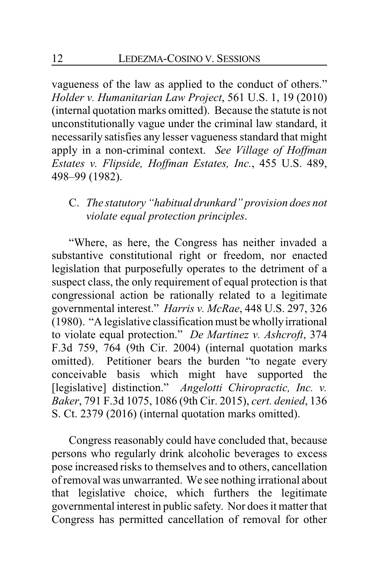vagueness of the law as applied to the conduct of others." *Holder v. Humanitarian Law Project*, 561 U.S. 1, 19 (2010) (internal quotation marks omitted). Because the statute is not unconstitutionally vague under the criminal law standard, it necessarily satisfies any lesser vagueness standard that might apply in a non-criminal context. *See Village of Hoffman Estates v. Flipside, Hoffman Estates, Inc.*, 455 U.S. 489, 498–99 (1982).

# C. *The statutory "habitual drunkard" provision does not violate equal protection principles*.

"Where, as here, the Congress has neither invaded a substantive constitutional right or freedom, nor enacted legislation that purposefully operates to the detriment of a suspect class, the only requirement of equal protection is that congressional action be rationally related to a legitimate governmental interest." *Harris v. McRae*, 448 U.S. 297, 326 (1980). "A legislative classification must be wholly irrational to violate equal protection." *De Martinez v. Ashcroft*, 374 F.3d 759, 764 (9th Cir. 2004) (internal quotation marks omitted). Petitioner bears the burden "to negate every conceivable basis which might have supported the [legislative] distinction." *Angelotti Chiropractic, Inc. v. Baker*, 791 F.3d 1075, 1086 (9th Cir. 2015), *cert. denied*, 136 S. Ct. 2379 (2016) (internal quotation marks omitted).

Congress reasonably could have concluded that, because persons who regularly drink alcoholic beverages to excess pose increased risks to themselves and to others, cancellation of removal was unwarranted. We see nothing irrational about that legislative choice, which furthers the legitimate governmental interest in public safety. Nor does it matter that Congress has permitted cancellation of removal for other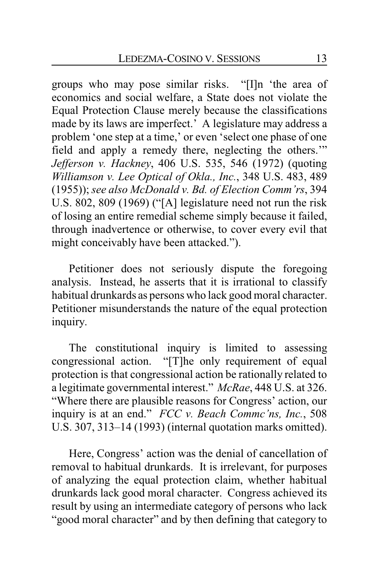groups who may pose similar risks. "[I]n 'the area of economics and social welfare, a State does not violate the Equal Protection Clause merely because the classifications made by its laws are imperfect.' A legislature may address a problem 'one step at a time,' or even 'select one phase of one field and apply a remedy there, neglecting the others.'" *Jefferson v. Hackney*, 406 U.S. 535, 546 (1972) (quoting *Williamson v. Lee Optical of Okla., Inc.*, 348 U.S. 483, 489 (1955)); *see also McDonald v. Bd. of Election Comm'rs*, 394 U.S. 802, 809 (1969) ("[A] legislature need not run the risk of losing an entire remedial scheme simply because it failed, through inadvertence or otherwise, to cover every evil that might conceivably have been attacked.").

Petitioner does not seriously dispute the foregoing analysis. Instead, he asserts that it is irrational to classify habitual drunkards as persons who lack good moral character. Petitioner misunderstands the nature of the equal protection inquiry.

The constitutional inquiry is limited to assessing congressional action. "[T]he only requirement of equal protection is that congressional action be rationally related to a legitimate governmental interest." *McRae*, 448 U.S. at 326. "Where there are plausible reasons for Congress' action, our inquiry is at an end." *FCC v. Beach Commc'ns, Inc.*, 508 U.S. 307, 313–14 (1993) (internal quotation marks omitted).

Here, Congress' action was the denial of cancellation of removal to habitual drunkards. It is irrelevant, for purposes of analyzing the equal protection claim, whether habitual drunkards lack good moral character. Congress achieved its result by using an intermediate category of persons who lack "good moral character" and by then defining that category to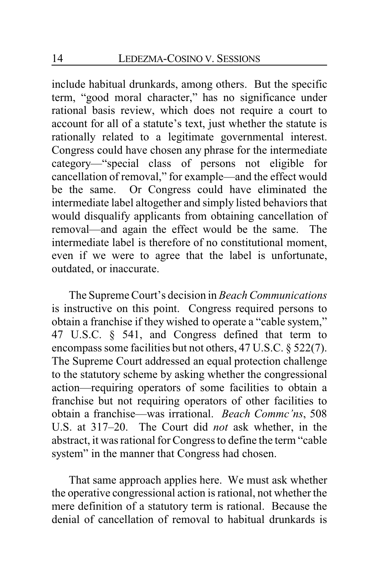include habitual drunkards, among others. But the specific term, "good moral character," has no significance under rational basis review, which does not require a court to account for all of a statute's text, just whether the statute is rationally related to a legitimate governmental interest. Congress could have chosen any phrase for the intermediate category—"special class of persons not eligible for cancellation of removal," for example—and the effect would be the same. Or Congress could have eliminated the intermediate label altogether and simply listed behaviors that would disqualify applicants from obtaining cancellation of removal—and again the effect would be the same. The intermediate label is therefore of no constitutional moment, even if we were to agree that the label is unfortunate, outdated, or inaccurate.

The Supreme Court's decision in *Beach Communications* is instructive on this point. Congress required persons to obtain a franchise if they wished to operate a "cable system," 47 U.S.C. § 541, and Congress defined that term to encompass some facilities but not others, 47 U.S.C. § 522(7). The Supreme Court addressed an equal protection challenge to the statutory scheme by asking whether the congressional action—requiring operators of some facilities to obtain a franchise but not requiring operators of other facilities to obtain a franchise—was irrational. *Beach Commc'ns*, 508 U.S. at 317–20. The Court did *not* ask whether, in the abstract, it was rational for Congress to define the term "cable system" in the manner that Congress had chosen.

That same approach applies here. We must ask whether the operative congressional action is rational, not whether the mere definition of a statutory term is rational. Because the denial of cancellation of removal to habitual drunkards is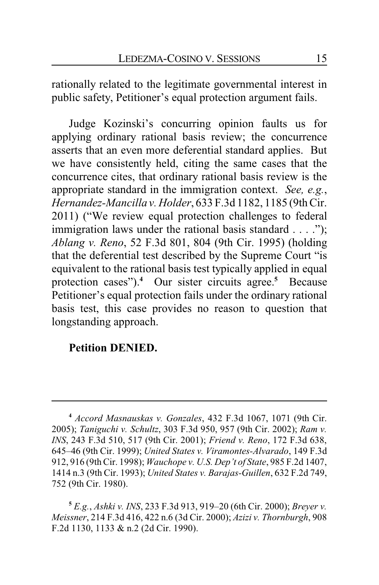rationally related to the legitimate governmental interest in public safety, Petitioner's equal protection argument fails.

Judge Kozinski's concurring opinion faults us for applying ordinary rational basis review; the concurrence asserts that an even more deferential standard applies. But we have consistently held, citing the same cases that the concurrence cites, that ordinary rational basis review is the appropriate standard in the immigration context. *See, e.g.*, *Hernandez-Mancilla v. Holder*, 633 F.3d 1182, 1185 (9th Cir. 2011) ("We review equal protection challenges to federal immigration laws under the rational basis standard . . . ."); *Ablang v. Reno*, 52 F.3d 801, 804 (9th Cir. 1995) (holding that the deferential test described by the Supreme Court "is equivalent to the rational basis test typically applied in equal protection cases").**<sup>4</sup>** Our sister circuits agree.**<sup>5</sup>** Because Petitioner's equal protection fails under the ordinary rational basis test, this case provides no reason to question that longstanding approach.

#### **Petition DENIED.**

**<sup>4</sup>** *Accord Masnauskas v. Gonzales*, 432 F.3d 1067, 1071 (9th Cir. 2005); *Taniguchi v. Schultz*, 303 F.3d 950, 957 (9th Cir. 2002); *Ram v. INS*, 243 F.3d 510, 517 (9th Cir. 2001); *Friend v. Reno*, 172 F.3d 638, 645–46 (9th Cir. 1999); *United States v. Viramontes-Alvarado*, 149 F.3d 912, 916 (9thCir. 1998); *Wauchope v. U.S. Dep't of State*, 985 F.2d 1407, 1414 n.3 (9th Cir. 1993); *United States v. Barajas-Guillen*, 632 F.2d 749, 752 (9th Cir. 1980).

**<sup>5</sup>** *E.g.*, *Ashki v. INS*, 233 F.3d 913, 919–20 (6th Cir. 2000); *Breyer v. Meissner*, 214 F.3d 416, 422 n.6 (3d Cir. 2000); *Azizi v. Thornburgh*, 908 F.2d 1130, 1133 & n.2 (2d Cir. 1990).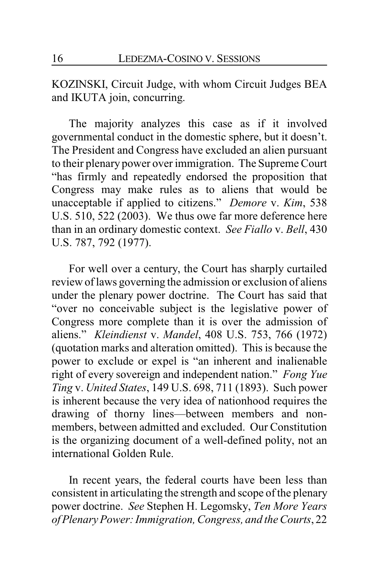KOZINSKI, Circuit Judge, with whom Circuit Judges BEA and IKUTA join, concurring.

The majority analyzes this case as if it involved governmental conduct in the domestic sphere, but it doesn't. The President and Congress have excluded an alien pursuant to their plenary power over immigration. The Supreme Court "has firmly and repeatedly endorsed the proposition that Congress may make rules as to aliens that would be unacceptable if applied to citizens." *Demore* v. *Kim*, 538 U.S. 510, 522 (2003). We thus owe far more deference here than in an ordinary domestic context. *See Fiallo* v. *Bell*, 430 U.S. 787, 792 (1977).

For well over a century, the Court has sharply curtailed review of laws governing the admission or exclusion of aliens under the plenary power doctrine. The Court has said that "over no conceivable subject is the legislative power of Congress more complete than it is over the admission of aliens." *Kleindienst* v. *Mandel*, 408 U.S. 753, 766 (1972) (quotation marks and alteration omitted). This is because the power to exclude or expel is "an inherent and inalienable right of every sovereign and independent nation." *Fong Yue Ting* v. *United States*, 149 U.S. 698, 711 (1893). Such power is inherent because the very idea of nationhood requires the drawing of thorny lines—between members and nonmembers, between admitted and excluded. Our Constitution is the organizing document of a well-defined polity, not an international Golden Rule.

In recent years, the federal courts have been less than consistent in articulating the strength and scope of the plenary power doctrine. *See* Stephen H. Legomsky, *Ten More Years ofPlenary Power: Immigration, Congress, and the Courts*, 22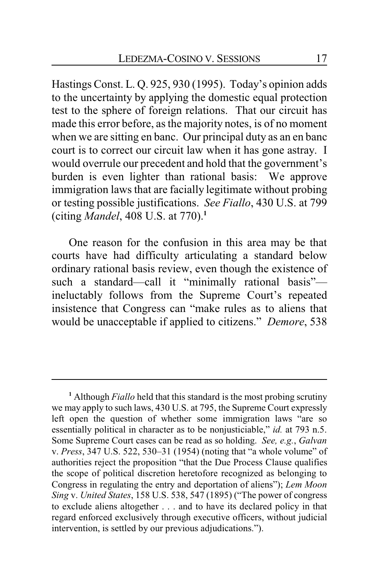Hastings Const. L. Q. 925, 930 (1995). Today's opinion adds to the uncertainty by applying the domestic equal protection test to the sphere of foreign relations. That our circuit has made this error before, as the majority notes, is of no moment when we are sitting en banc. Our principal duty as an en banc court is to correct our circuit law when it has gone astray. I would overrule our precedent and hold that the government's burden is even lighter than rational basis: We approve immigration laws that are facially legitimate without probing or testing possible justifications. *See Fiallo*, 430 U.S. at 799 (citing *Mandel*, 408 U.S. at 770).**<sup>1</sup>**

One reason for the confusion in this area may be that courts have had difficulty articulating a standard below ordinary rational basis review, even though the existence of such a standard—call it "minimally rational basis" ineluctably follows from the Supreme Court's repeated insistence that Congress can "make rules as to aliens that would be unacceptable if applied to citizens." *Demore*, 538

**<sup>1</sup>** Although *Fiallo* held that this standard is the most probing scrutiny we may apply to such laws, 430 U.S. at 795, the Supreme Court expressly left open the question of whether some immigration laws "are so essentially political in character as to be nonjusticiable," *id.* at 793 n.5. Some Supreme Court cases can be read as so holding. *See, e.g.*, *Galvan* v. *Press*, 347 U.S. 522, 530–31 (1954) (noting that "a whole volume" of authorities reject the proposition "that the Due Process Clause qualifies the scope of political discretion heretofore recognized as belonging to Congress in regulating the entry and deportation of aliens"); *Lem Moon Sing* v. *United States*, 158 U.S. 538, 547 (1895) ("The power of congress to exclude aliens altogether . . . and to have its declared policy in that regard enforced exclusively through executive officers, without judicial intervention, is settled by our previous adjudications.").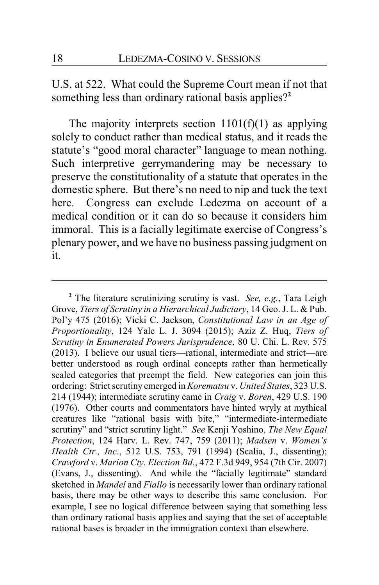U.S. at 522. What could the Supreme Court mean if not that something less than ordinary rational basis applies?**<sup>2</sup>**

The majority interprets section  $1101(f)(1)$  as applying solely to conduct rather than medical status, and it reads the statute's "good moral character" language to mean nothing. Such interpretive gerrymandering may be necessary to preserve the constitutionality of a statute that operates in the domestic sphere. But there's no need to nip and tuck the text here. Congress can exclude Ledezma on account of a medical condition or it can do so because it considers him immoral. This is a facially legitimate exercise of Congress's plenary power, and we have no business passing judgment on it.

**<sup>2</sup>** The literature scrutinizing scrutiny is vast. *See, e.g.*, Tara Leigh Grove, *Tiers of Scrutiny in a Hierarchical Judiciary*, 14 Geo. J. L. & Pub. Pol'y 475 (2016); Vicki C. Jackson, *Constitutional Law in an Age of Proportionality*, 124 Yale L. J. 3094 (2015); Aziz Z. Huq, *Tiers of Scrutiny in Enumerated Powers Jurisprudence*, 80 U. Chi. L. Rev. 575 (2013). I believe our usual tiers—rational, intermediate and strict—are better understood as rough ordinal concepts rather than hermetically sealed categories that preempt the field. New categories can join this ordering: Strict scrutiny emerged in*Korematsu* v. *United States*, 323 U.S. 214 (1944); intermediate scrutiny came in *Craig* v. *Boren*, 429 U.S. 190 (1976). Other courts and commentators have hinted wryly at mythical creatures like "rational basis with bite," "intermediate-intermediate scrutiny" and "strict scrutiny light." *See* Kenji Yoshino, *The New Equal Protection*, 124 Harv. L. Rev. 747, 759 (2011); *Madsen* v. *Women's Health Ctr., Inc.*, 512 U.S. 753, 791 (1994) (Scalia, J., dissenting); *Crawford* v. *Marion Cty. Election Bd.*, 472 F.3d 949, 954 (7th Cir. 2007) (Evans, J., dissenting). And while the "facially legitimate" standard sketched in *Mandel* and *Fiallo* is necessarily lower than ordinary rational basis, there may be other ways to describe this same conclusion. For example, I see no logical difference between saying that something less than ordinary rational basis applies and saying that the set of acceptable rational bases is broader in the immigration context than elsewhere.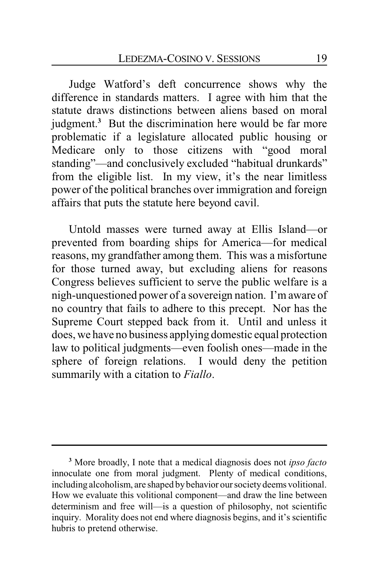Judge Watford's deft concurrence shows why the difference in standards matters. I agree with him that the statute draws distinctions between aliens based on moral judgment.<sup>3</sup> But the discrimination here would be far more problematic if a legislature allocated public housing or Medicare only to those citizens with "good moral standing"—and conclusively excluded "habitual drunkards" from the eligible list. In my view, it's the near limitless power of the political branches over immigration and foreign affairs that puts the statute here beyond cavil.

Untold masses were turned away at Ellis Island—or prevented from boarding ships for America—for medical reasons, my grandfather among them. This was a misfortune for those turned away, but excluding aliens for reasons Congress believes sufficient to serve the public welfare is a nigh-unquestioned power of a sovereign nation. I'm aware of no country that fails to adhere to this precept. Nor has the Supreme Court stepped back from it. Until and unless it does, we have no business applying domestic equal protection law to political judgments—even foolish ones—made in the sphere of foreign relations. I would deny the petition summarily with a citation to *Fiallo*.

**<sup>3</sup>** More broadly, I note that a medical diagnosis does not *ipso facto* innoculate one from moral judgment. Plenty of medical conditions, including alcoholism, are shaped by behavior our society deems volitional. How we evaluate this volitional component—and draw the line between determinism and free will—is a question of philosophy, not scientific inquiry. Morality does not end where diagnosis begins, and it's scientific hubris to pretend otherwise.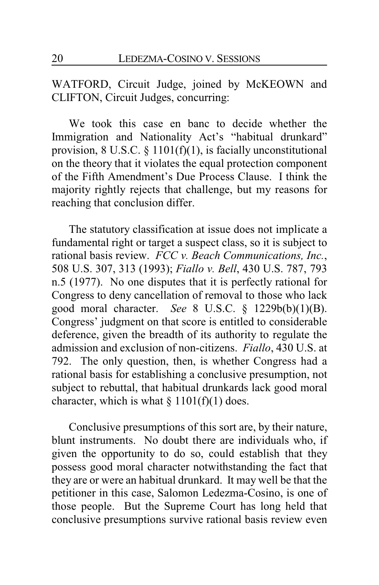WATFORD, Circuit Judge, joined by McKEOWN and CLIFTON, Circuit Judges, concurring:

We took this case en banc to decide whether the Immigration and Nationality Act's "habitual drunkard" provision,  $8 \text{ U.S.C. } \S 1101(f)(1)$ , is facially unconstitutional on the theory that it violates the equal protection component of the Fifth Amendment's Due Process Clause. I think the majority rightly rejects that challenge, but my reasons for reaching that conclusion differ.

The statutory classification at issue does not implicate a fundamental right or target a suspect class, so it is subject to rational basis review. *FCC v. Beach Communications, Inc.*, 508 U.S. 307, 313 (1993); *Fiallo v. Bell*, 430 U.S. 787, 793 n.5 (1977). No one disputes that it is perfectly rational for Congress to deny cancellation of removal to those who lack good moral character. *See* 8 U.S.C. § 1229b(b)(1)(B). Congress' judgment on that score is entitled to considerable deference, given the breadth of its authority to regulate the admission and exclusion of non-citizens. *Fiallo*, 430 U.S. at 792. The only question, then, is whether Congress had a rational basis for establishing a conclusive presumption, not subject to rebuttal, that habitual drunkards lack good moral character, which is what  $\S 1101(f)(1)$  does.

Conclusive presumptions of this sort are, by their nature, blunt instruments. No doubt there are individuals who, if given the opportunity to do so, could establish that they possess good moral character notwithstanding the fact that they are or were an habitual drunkard. It may well be that the petitioner in this case, Salomon Ledezma-Cosino, is one of those people. But the Supreme Court has long held that conclusive presumptions survive rational basis review even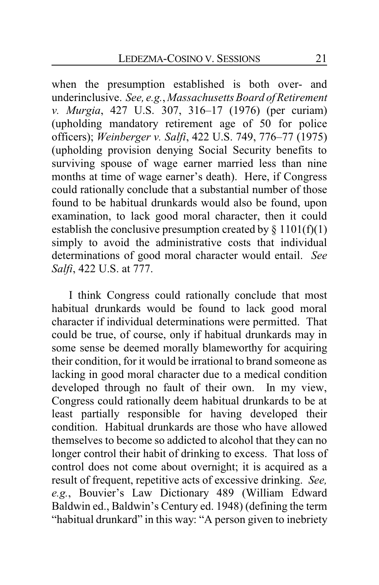when the presumption established is both over- and underinclusive. *See, e.g.*, *Massachusetts Board of Retirement v. Murgia*, 427 U.S. 307, 316–17 (1976) (per curiam) (upholding mandatory retirement age of 50 for police officers); *Weinberger v. Salfi*, 422 U.S. 749, 776–77 (1975) (upholding provision denying Social Security benefits to surviving spouse of wage earner married less than nine months at time of wage earner's death). Here, if Congress could rationally conclude that a substantial number of those found to be habitual drunkards would also be found, upon examination, to lack good moral character, then it could establish the conclusive presumption created by  $\S 1101(f)(1)$ simply to avoid the administrative costs that individual determinations of good moral character would entail. *See Salfi*, 422 U.S. at 777.

I think Congress could rationally conclude that most habitual drunkards would be found to lack good moral character if individual determinations were permitted. That could be true, of course, only if habitual drunkards may in some sense be deemed morally blameworthy for acquiring their condition, for it would be irrational to brand someone as lacking in good moral character due to a medical condition developed through no fault of their own. In my view, Congress could rationally deem habitual drunkards to be at least partially responsible for having developed their condition. Habitual drunkards are those who have allowed themselves to become so addicted to alcohol that they can no longer control their habit of drinking to excess. That loss of control does not come about overnight; it is acquired as a result of frequent, repetitive acts of excessive drinking. *See, e.g.*, Bouvier's Law Dictionary 489 (William Edward Baldwin ed., Baldwin's Century ed. 1948) (defining the term "habitual drunkard" in this way: "A person given to inebriety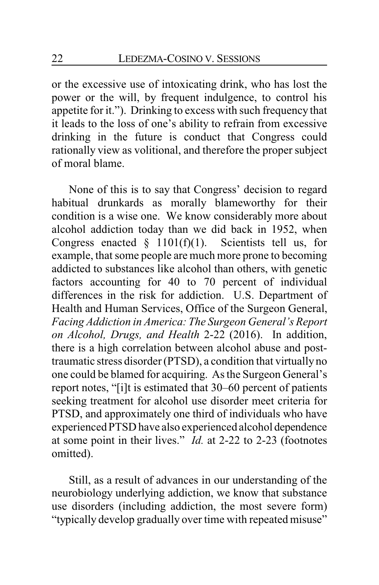or the excessive use of intoxicating drink, who has lost the power or the will, by frequent indulgence, to control his appetite for it."). Drinking to excess with such frequency that it leads to the loss of one's ability to refrain from excessive drinking in the future is conduct that Congress could rationally view as volitional, and therefore the proper subject of moral blame.

None of this is to say that Congress' decision to regard habitual drunkards as morally blameworthy for their condition is a wise one. We know considerably more about alcohol addiction today than we did back in 1952, when Congress enacted  $\S$  1101(f)(1). Scientists tell us, for example, that some people are much more prone to becoming addicted to substances like alcohol than others, with genetic factors accounting for 40 to 70 percent of individual differences in the risk for addiction. U.S. Department of Health and Human Services, Office of the Surgeon General, *Facing Addiction in America: The Surgeon General's Report on Alcohol, Drugs, and Health* 2-22 (2016). In addition, there is a high correlation between alcohol abuse and posttraumatic stress disorder (PTSD), a condition that virtually no one could be blamed for acquiring. As the Surgeon General's report notes, "[i]t is estimated that 30–60 percent of patients seeking treatment for alcohol use disorder meet criteria for PTSD, and approximately one third of individuals who have experienced PTSD have also experienced alcohol dependence at some point in their lives." *Id.* at 2-22 to 2-23 (footnotes omitted).

Still, as a result of advances in our understanding of the neurobiology underlying addiction, we know that substance use disorders (including addiction, the most severe form) "typically develop gradually over time with repeated misuse"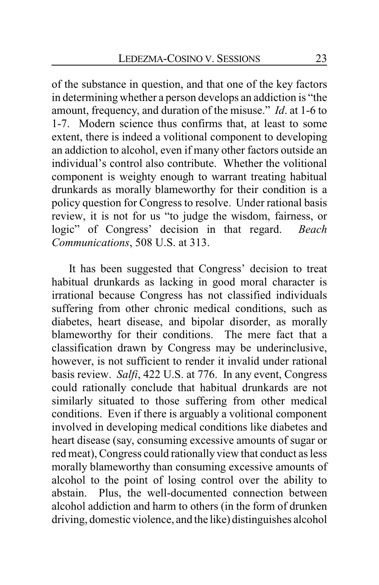of the substance in question, and that one of the key factors in determining whether a person develops an addiction is "the amount, frequency, and duration of the misuse." *Id*. at 1-6 to 1-7. Modern science thus confirms that, at least to some extent, there is indeed a volitional component to developing an addiction to alcohol, even if many other factors outside an individual's control also contribute. Whether the volitional component is weighty enough to warrant treating habitual drunkards as morally blameworthy for their condition is a policy question for Congress to resolve. Under rational basis review, it is not for us "to judge the wisdom, fairness, or logic" of Congress' decision in that regard. *Beach Communications*, 508 U.S. at 313.

It has been suggested that Congress' decision to treat habitual drunkards as lacking in good moral character is irrational because Congress has not classified individuals suffering from other chronic medical conditions, such as diabetes, heart disease, and bipolar disorder, as morally blameworthy for their conditions. The mere fact that a classification drawn by Congress may be underinclusive, however, is not sufficient to render it invalid under rational basis review. *Salfi*, 422 U.S. at 776. In any event, Congress could rationally conclude that habitual drunkards are not similarly situated to those suffering from other medical conditions. Even if there is arguably a volitional component involved in developing medical conditions like diabetes and heart disease (say, consuming excessive amounts of sugar or red meat), Congress could rationally view that conduct as less morally blameworthy than consuming excessive amounts of alcohol to the point of losing control over the ability to abstain. Plus, the well-documented connection between alcohol addiction and harm to others (in the form of drunken driving, domestic violence, and the like) distinguishes alcohol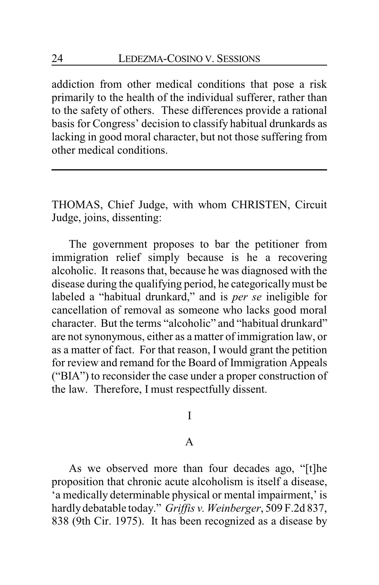addiction from other medical conditions that pose a risk primarily to the health of the individual sufferer, rather than to the safety of others. These differences provide a rational basis for Congress' decision to classify habitual drunkards as lacking in good moral character, but not those suffering from other medical conditions.

THOMAS, Chief Judge, with whom CHRISTEN, Circuit Judge, joins, dissenting:

The government proposes to bar the petitioner from immigration relief simply because is he a recovering alcoholic. It reasons that, because he was diagnosed with the disease during the qualifying period, he categoricallymust be labeled a "habitual drunkard," and is *per se* ineligible for cancellation of removal as someone who lacks good moral character. But the terms "alcoholic" and "habitual drunkard" are not synonymous, either as a matter of immigration law, or as a matter of fact. For that reason, I would grant the petition for review and remand for the Board of Immigration Appeals ("BIA") to reconsider the case under a proper construction of the law. Therefore, I must respectfully dissent.

#### I

#### A

As we observed more than four decades ago, "[t]he proposition that chronic acute alcoholism is itself a disease, 'a medically determinable physical or mental impairment,' is hardly debatable today." *Griffis v. Weinberger*, 509 F.2d 837, 838 (9th Cir. 1975). It has been recognized as a disease by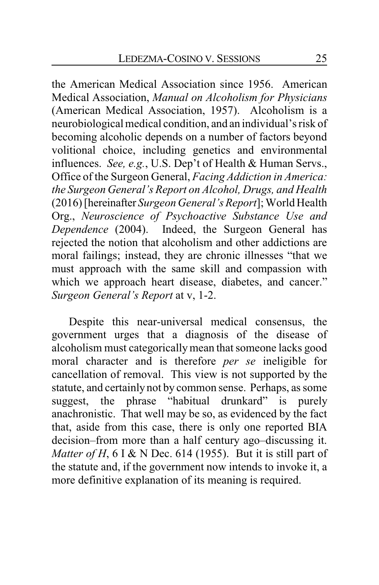the American Medical Association since 1956. American Medical Association, *Manual on Alcoholism for Physicians* (American Medical Association, 1957). Alcoholism is a neurobiological medical condition, and an individual's risk of becoming alcoholic depends on a number of factors beyond volitional choice, including genetics and environmental influences. *See, e.g.*, U.S. Dep't of Health & Human Servs., Office of the Surgeon General, *Facing Addiction in America: the Surgeon General's Report on Alcohol, Drugs, and Health* (2016) [hereinafter *Surgeon General's Report*]; World Health Org., *Neuroscience of Psychoactive Substance Use and Dependence* (2004). Indeed, the Surgeon General has rejected the notion that alcoholism and other addictions are moral failings; instead, they are chronic illnesses "that we must approach with the same skill and compassion with which we approach heart disease, diabetes, and cancer." *Surgeon General's Report* at v, 1-2.

Despite this near-universal medical consensus, the government urges that a diagnosis of the disease of alcoholism must categoricallymean that someone lacks good moral character and is therefore *per se* ineligible for cancellation of removal. This view is not supported by the statute, and certainly not by common sense. Perhaps, as some suggest, the phrase "habitual drunkard" is purely anachronistic. That well may be so, as evidenced by the fact that, aside from this case, there is only one reported BIA decision–from more than a half century ago–discussing it. *Matter of H*, 6 I & N Dec. 614 (1955). But it is still part of the statute and, if the government now intends to invoke it, a more definitive explanation of its meaning is required.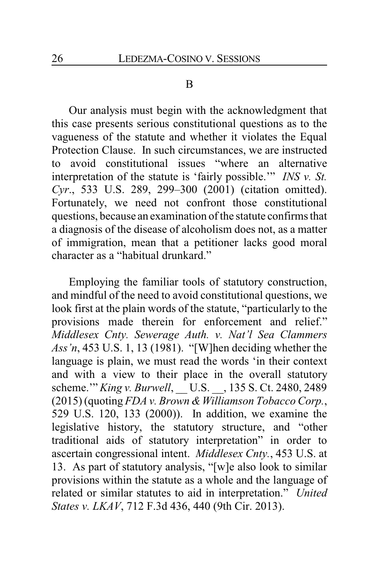#### B

Our analysis must begin with the acknowledgment that this case presents serious constitutional questions as to the vagueness of the statute and whether it violates the Equal Protection Clause. In such circumstances, we are instructed to avoid constitutional issues "where an alternative interpretation of the statute is 'fairly possible.'" *INS v. St. Cyr*., 533 U.S. 289, 299–300 (2001) (citation omitted). Fortunately, we need not confront those constitutional questions, because an examination of the statute confirms that a diagnosis of the disease of alcoholism does not, as a matter of immigration, mean that a petitioner lacks good moral character as a "habitual drunkard."

Employing the familiar tools of statutory construction, and mindful of the need to avoid constitutional questions, we look first at the plain words of the statute, "particularly to the provisions made therein for enforcement and relief." *Middlesex Cnty. Sewerage Auth. v. Nat'l Sea Clammers Ass'n*, 453 U.S. 1, 13 (1981). "[W]hen deciding whether the language is plain, we must read the words 'in their context and with a view to their place in the overall statutory scheme.'" *King v. Burwell*, U.S. , 135 S. Ct. 2480, 2489 (2015) (quoting *FDA v. Brown & Williamson Tobacco Corp.*, 529 U.S. 120, 133 (2000)). In addition, we examine the legislative history, the statutory structure, and "other traditional aids of statutory interpretation" in order to ascertain congressional intent. *Middlesex Cnty.*, 453 U.S. at 13. As part of statutory analysis, "[w]e also look to similar provisions within the statute as a whole and the language of related or similar statutes to aid in interpretation." *United States v. LKAV*, 712 F.3d 436, 440 (9th Cir. 2013).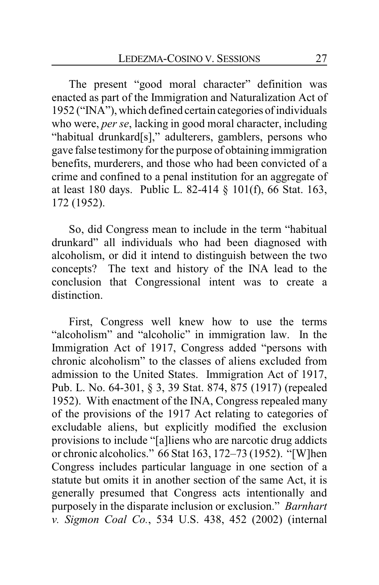The present "good moral character" definition was enacted as part of the Immigration and Naturalization Act of 1952 ("INA"), which defined certain categories of individuals who were, *per se*, lacking in good moral character, including "habitual drunkard[s]," adulterers, gamblers, persons who gave false testimony for the purpose of obtaining immigration benefits, murderers, and those who had been convicted of a crime and confined to a penal institution for an aggregate of at least 180 days. Public L. 82-414 § 101(f), 66 Stat. 163, 172 (1952).

So, did Congress mean to include in the term "habitual drunkard" all individuals who had been diagnosed with alcoholism, or did it intend to distinguish between the two concepts? The text and history of the INA lead to the conclusion that Congressional intent was to create a distinction.

First, Congress well knew how to use the terms "alcoholism" and "alcoholic" in immigration law. In the Immigration Act of 1917, Congress added "persons with chronic alcoholism" to the classes of aliens excluded from admission to the United States. Immigration Act of 1917, Pub. L. No. 64-301, § 3, 39 Stat. 874, 875 (1917) (repealed 1952). With enactment of the INA, Congress repealed many of the provisions of the 1917 Act relating to categories of excludable aliens, but explicitly modified the exclusion provisions to include "[a]liens who are narcotic drug addicts or chronic alcoholics." 66 Stat 163, 172–73 (1952). "[W]hen Congress includes particular language in one section of a statute but omits it in another section of the same Act, it is generally presumed that Congress acts intentionally and purposely in the disparate inclusion or exclusion." *Barnhart v. Sigmon Coal Co.*, 534 U.S. 438, 452 (2002) (internal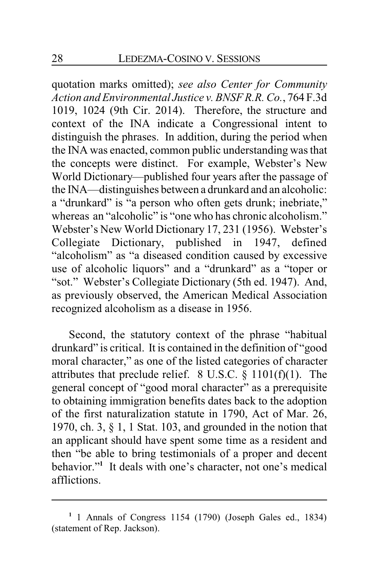quotation marks omitted); *see also Center for Community Action and Environmental Justice v. BNSF R.R. Co.*, 764 F.3d 1019, 1024 (9th Cir. 2014). Therefore, the structure and context of the INA indicate a Congressional intent to distinguish the phrases. In addition, during the period when the INA was enacted, common public understanding was that the concepts were distinct. For example, Webster's New World Dictionary—published four years after the passage of the INA—distinguishes between a drunkard and an alcoholic: a "drunkard" is "a person who often gets drunk; inebriate," whereas an "alcoholic" is "one who has chronic alcoholism." Webster's New World Dictionary 17, 231 (1956). Webster's Collegiate Dictionary, published in 1947, defined "alcoholism" as "a diseased condition caused by excessive use of alcoholic liquors" and a "drunkard" as a "toper or "sot." Webster's Collegiate Dictionary (5th ed. 1947). And, as previously observed, the American Medical Association recognized alcoholism as a disease in 1956.

Second, the statutory context of the phrase "habitual drunkard" is critical. It is contained in the definition of "good moral character," as one of the listed categories of character attributes that preclude relief.  $8 \text{ U.S.C.} \$ § 1101(f)(1). The general concept of "good moral character" as a prerequisite to obtaining immigration benefits dates back to the adoption of the first naturalization statute in 1790, Act of Mar. 26, 1970, ch. 3, § 1, 1 Stat. 103, and grounded in the notion that an applicant should have spent some time as a resident and then "be able to bring testimonials of a proper and decent behavior."**<sup>1</sup>** It deals with one's character, not one's medical afflictions.

**<sup>1</sup>** 1 Annals of Congress 1154 (1790) (Joseph Gales ed., 1834) (statement of Rep. Jackson).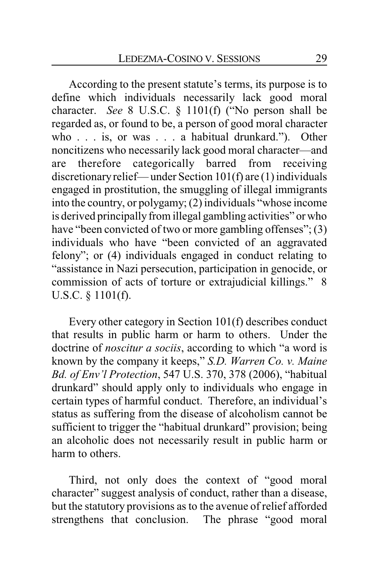According to the present statute's terms, its purpose is to define which individuals necessarily lack good moral character. *See* 8 U.S.C. § 1101(f) ("No person shall be regarded as, or found to be, a person of good moral character who . . . is, or was . . . a habitual drunkard."). Other noncitizens who necessarily lack good moral character—and are therefore categorically barred from receiving discretionaryrelief— under Section 101(f) are (1) individuals engaged in prostitution, the smuggling of illegal immigrants into the country, or polygamy; (2) individuals "whose income is derived principally from illegal gambling activities" orwho have "been convicted of two or more gambling offenses"; (3) individuals who have "been convicted of an aggravated felony"; or (4) individuals engaged in conduct relating to "assistance in Nazi persecution, participation in genocide, or commission of acts of torture or extrajudicial killings." 8 U.S.C. § 1101(f).

Every other category in Section 101(f) describes conduct that results in public harm or harm to others. Under the doctrine of *noscitur a sociis*, according to which "a word is known by the company it keeps," *S.D. Warren Co. v. Maine Bd. of Env'l Protection*, 547 U.S. 370, 378 (2006), "habitual drunkard" should apply only to individuals who engage in certain types of harmful conduct. Therefore, an individual's status as suffering from the disease of alcoholism cannot be sufficient to trigger the "habitual drunkard" provision; being an alcoholic does not necessarily result in public harm or harm to others.

Third, not only does the context of "good moral character" suggest analysis of conduct, rather than a disease, but the statutory provisions as to the avenue of relief afforded strengthens that conclusion. The phrase "good moral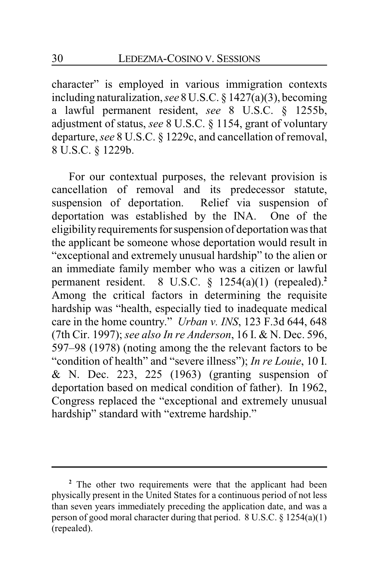character" is employed in various immigration contexts including naturalization, *see* 8 U.S.C. § 1427(a)(3), becoming a lawful permanent resident, *see* 8 U.S.C. § 1255b, adjustment of status, *see* 8 U.S.C. § 1154, grant of voluntary departure, *see* 8 U.S.C. § 1229c, and cancellation of removal, 8 U.S.C. § 1229b.

For our contextual purposes, the relevant provision is cancellation of removal and its predecessor statute, suspension of deportation. Relief via suspension of deportation was established by the INA. One of the eligibility requirements for suspension of deportation was that the applicant be someone whose deportation would result in "exceptional and extremely unusual hardship" to the alien or an immediate family member who was a citizen or lawful permanent resident. 8 U.S.C. § 1254(a)(1) (repealed).**<sup>2</sup>** Among the critical factors in determining the requisite hardship was "health, especially tied to inadequate medical care in the home country." *Urban v. INS*, 123 F.3d 644, 648 (7th Cir. 1997); *see also In re Anderson*, 16 I. & N. Dec. 596, 597–98 (1978) (noting among the the relevant factors to be "condition of health" and "severe illness"); *In re Louie*, 10 I. & N. Dec. 223, 225 (1963) (granting suspension of deportation based on medical condition of father). In 1962, Congress replaced the "exceptional and extremely unusual hardship" standard with "extreme hardship."

<sup>&</sup>lt;sup>2</sup> The other two requirements were that the applicant had been physically present in the United States for a continuous period of not less than seven years immediately preceding the application date, and was a person of good moral character during that period. 8 U.S.C. § 1254(a)(1) (repealed).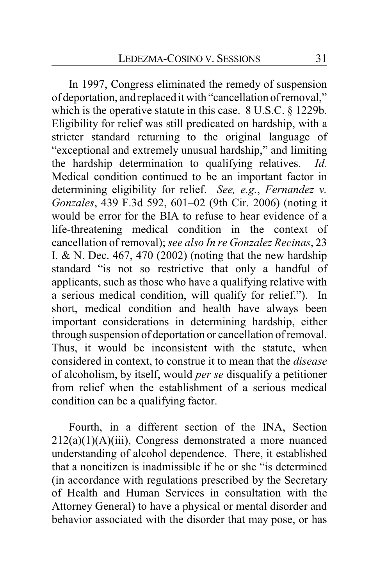In 1997, Congress eliminated the remedy of suspension of deportation, and replaced it with "cancellation ofremoval," which is the operative statute in this case. 8 U.S.C. § 1229b. Eligibility for relief was still predicated on hardship, with a stricter standard returning to the original language of "exceptional and extremely unusual hardship," and limiting the hardship determination to qualifying relatives. *Id.* Medical condition continued to be an important factor in determining eligibility for relief. *See, e.g.*, *Fernandez v. Gonzales*, 439 F.3d 592, 601–02 (9th Cir. 2006) (noting it would be error for the BIA to refuse to hear evidence of a life-threatening medical condition in the context of cancellation of removal); *see also In re Gonzalez Recinas*, 23 I. & N. Dec. 467, 470 (2002) (noting that the new hardship standard "is not so restrictive that only a handful of applicants, such as those who have a qualifying relative with a serious medical condition, will qualify for relief."). In short, medical condition and health have always been important considerations in determining hardship, either through suspension of deportation or cancellation of removal. Thus, it would be inconsistent with the statute, when considered in context, to construe it to mean that the *disease* of alcoholism, by itself, would *per se* disqualify a petitioner from relief when the establishment of a serious medical condition can be a qualifying factor.

Fourth, in a different section of the INA, Section  $212(a)(1)(A)(iii)$ , Congress demonstrated a more nuanced understanding of alcohol dependence. There, it established that a noncitizen is inadmissible if he or she "is determined (in accordance with regulations prescribed by the Secretary of Health and Human Services in consultation with the Attorney General) to have a physical or mental disorder and behavior associated with the disorder that may pose, or has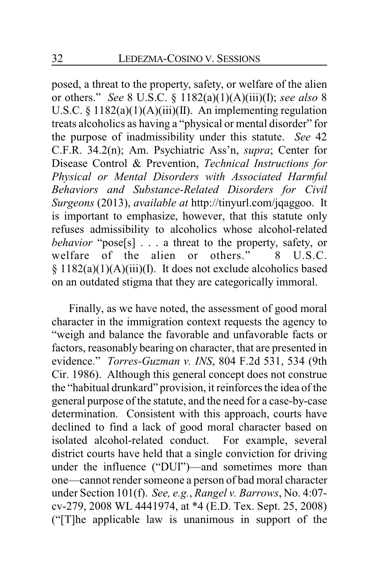posed, a threat to the property, safety, or welfare of the alien or others." *See* 8 U.S.C. § 1182(a)(1)(A)(iii)(I); *see also* 8 U.S.C.  $\S 1182(a)(1)(A)(iii)(II)$ . An implementing regulation treats alcoholics as having a "physical or mental disorder" for the purpose of inadmissibility under this statute. *See* 42 C.F.R. 34.2(n); Am. Psychiatric Ass'n, *supra*; Center for Disease Control & Prevention, *Technical Instructions for Physical or Mental Disorders with Associated Harmful Behaviors and Substance-Related Disorders for Civil Surgeons* (2013), *available at* http://tinyurl.com/jqaggoo. It is important to emphasize, however, that this statute only refuses admissibility to alcoholics whose alcohol-related *behavior* "pose[s] . . . a threat to the property, safety, or welfare of the alien or others." 8 U.S.C. § 1182(a)(1)(A)(iii)(I). It does not exclude alcoholics based on an outdated stigma that they are categorically immoral.

Finally, as we have noted, the assessment of good moral character in the immigration context requests the agency to "weigh and balance the favorable and unfavorable facts or factors, reasonably bearing on character, that are presented in evidence." *Torres-Guzman v. INS*, 804 F.2d 531, 534 (9th Cir. 1986). Although this general concept does not construe the "habitual drunkard" provision, it reinforces the idea of the general purpose of the statute, and the need for a case-by-case determination. Consistent with this approach, courts have declined to find a lack of good moral character based on isolated alcohol-related conduct. For example, several district courts have held that a single conviction for driving under the influence ("DUI")—and sometimes more than one—cannot render someone a person of bad moral character under Section 101(f). *See, e.g.*, *Rangel v. Barrows*, No. 4:07 cv-279, 2008 WL 4441974, at \*4 (E.D. Tex. Sept. 25, 2008) ("[T]he applicable law is unanimous in support of the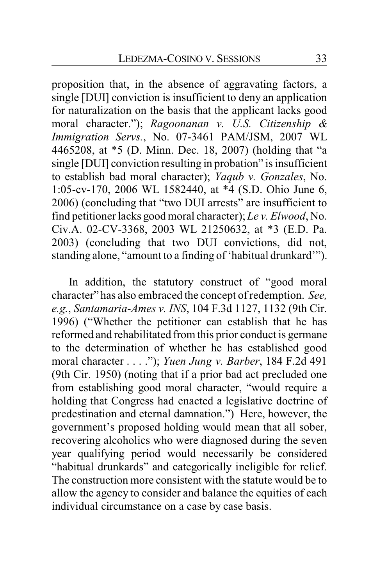proposition that, in the absence of aggravating factors, a single [DUI] conviction is insufficient to deny an application for naturalization on the basis that the applicant lacks good moral character."); *Ragoonanan v. U.S. Citizenship & Immigration Servs.*, No. 07-3461 PAM/JSM, 2007 WL 4465208, at \*5 (D. Minn. Dec. 18, 2007) (holding that "a single [DUI] conviction resulting in probation" is insufficient to establish bad moral character); *Yaqub v. Gonzales*, No. 1:05-cv-170, 2006 WL 1582440, at \*4 (S.D. Ohio June 6, 2006) (concluding that "two DUI arrests" are insufficient to find petitioner lacks good moral character); *Le v. Elwood*, No. Civ.A. 02-CV-3368, 2003 WL 21250632, at \*3 (E.D. Pa. 2003) (concluding that two DUI convictions, did not, standing alone, "amount to a finding of 'habitual drunkard'").

In addition, the statutory construct of "good moral character" has also embraced the concept of redemption. *See, e.g.*, *Santamaria-Ames v. INS*, 104 F.3d 1127, 1132 (9th Cir. 1996) ("Whether the petitioner can establish that he has reformed and rehabilitated from this prior conduct is germane to the determination of whether he has established good moral character . . . ."); *Yuen Jung v. Barber*, 184 F.2d 491 (9th Cir. 1950) (noting that if a prior bad act precluded one from establishing good moral character, "would require a holding that Congress had enacted a legislative doctrine of predestination and eternal damnation.") Here, however, the government's proposed holding would mean that all sober, recovering alcoholics who were diagnosed during the seven year qualifying period would necessarily be considered "habitual drunkards" and categorically ineligible for relief. The construction more consistent with the statute would be to allow the agency to consider and balance the equities of each individual circumstance on a case by case basis.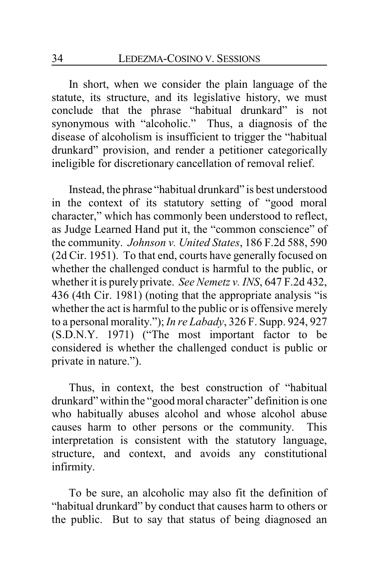In short, when we consider the plain language of the statute, its structure, and its legislative history, we must conclude that the phrase "habitual drunkard" is not synonymous with "alcoholic." Thus, a diagnosis of the disease of alcoholism is insufficient to trigger the "habitual drunkard" provision, and render a petitioner categorically ineligible for discretionary cancellation of removal relief.

Instead, the phrase "habitual drunkard" is best understood in the context of its statutory setting of "good moral character," which has commonly been understood to reflect, as Judge Learned Hand put it, the "common conscience" of the community. *Johnson v. United States*, 186 F.2d 588, 590 (2d Cir. 1951). To that end, courts have generally focused on whether the challenged conduct is harmful to the public, or whether it is purely private. *See Nemetz v. INS*, 647 F.2d 432, 436 (4th Cir. 1981) (noting that the appropriate analysis "is whether the act is harmful to the public or is offensive merely to a personal morality."); *In re Labady*, 326 F. Supp. 924, 927 (S.D.N.Y. 1971) ("The most important factor to be considered is whether the challenged conduct is public or private in nature.").

Thus, in context, the best construction of "habitual drunkard" within the "good moral character" definition is one who habitually abuses alcohol and whose alcohol abuse causes harm to other persons or the community. This interpretation is consistent with the statutory language, structure, and context, and avoids any constitutional infirmity.

To be sure, an alcoholic may also fit the definition of "habitual drunkard" by conduct that causes harm to others or the public. But to say that status of being diagnosed an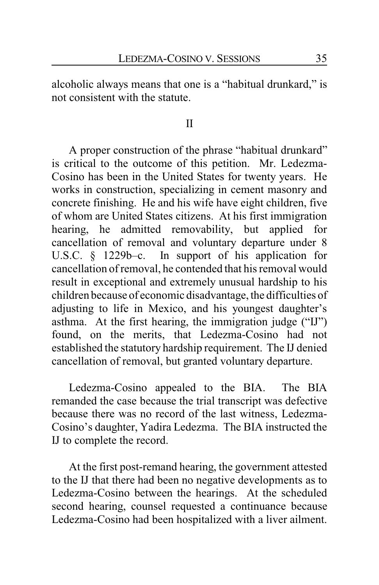alcoholic always means that one is a "habitual drunkard," is not consistent with the statute.

#### II

A proper construction of the phrase "habitual drunkard" is critical to the outcome of this petition. Mr. Ledezma-Cosino has been in the United States for twenty years. He works in construction, specializing in cement masonry and concrete finishing. He and his wife have eight children, five of whom are United States citizens. At his first immigration hearing, he admitted removability, but applied for cancellation of removal and voluntary departure under 8 U.S.C. § 1229b–c. In support of his application for cancellation of removal, he contended that his removal would result in exceptional and extremely unusual hardship to his children because of economic disadvantage, the difficulties of adjusting to life in Mexico, and his youngest daughter's asthma. At the first hearing, the immigration judge ("IJ") found, on the merits, that Ledezma-Cosino had not established the statutory hardship requirement. The IJ denied cancellation of removal, but granted voluntary departure.

Ledezma-Cosino appealed to the BIA. The BIA remanded the case because the trial transcript was defective because there was no record of the last witness, Ledezma-Cosino's daughter, Yadira Ledezma. The BIA instructed the IJ to complete the record.

At the first post-remand hearing, the government attested to the IJ that there had been no negative developments as to Ledezma-Cosino between the hearings. At the scheduled second hearing, counsel requested a continuance because Ledezma-Cosino had been hospitalized with a liver ailment.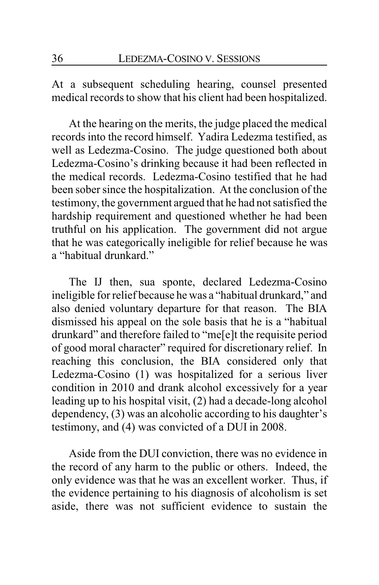At a subsequent scheduling hearing, counsel presented medical records to show that his client had been hospitalized.

At the hearing on the merits, the judge placed the medical records into the record himself. Yadira Ledezma testified, as well as Ledezma-Cosino. The judge questioned both about Ledezma-Cosino's drinking because it had been reflected in the medical records. Ledezma-Cosino testified that he had been sober since the hospitalization. At the conclusion of the testimony, the government argued that he had not satisfied the hardship requirement and questioned whether he had been truthful on his application. The government did not argue that he was categorically ineligible for relief because he was a "habitual drunkard."

The IJ then, sua sponte, declared Ledezma-Cosino ineligible for relief because he was a "habitual drunkard," and also denied voluntary departure for that reason. The BIA dismissed his appeal on the sole basis that he is a "habitual drunkard" and therefore failed to "me[e]t the requisite period of good moral character" required for discretionary relief. In reaching this conclusion, the BIA considered only that Ledezma-Cosino (1) was hospitalized for a serious liver condition in 2010 and drank alcohol excessively for a year leading up to his hospital visit, (2) had a decade-long alcohol dependency, (3) was an alcoholic according to his daughter's testimony, and (4) was convicted of a DUI in 2008.

Aside from the DUI conviction, there was no evidence in the record of any harm to the public or others. Indeed, the only evidence was that he was an excellent worker. Thus, if the evidence pertaining to his diagnosis of alcoholism is set aside, there was not sufficient evidence to sustain the